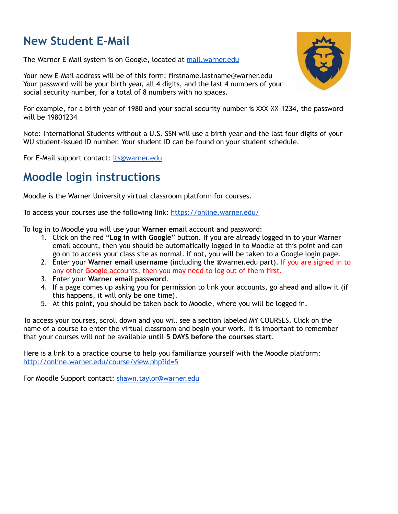# **New Student E-Mail**

The Warner E-Mail system is on Google, located at [mail.warner.edu](http://mail.warner.edu/)

Your new E-Mail address will be of this form: firstname.lastname@warner.edu Your password will be your birth year, all 4 digits, and the last 4 numbers of your social security number, for a total of 8 numbers with no spaces.



For example, for a birth year of 1980 and your social security number is XXX-XX-1234, the password will be 19801234

Note: International Students without a U.S. SSN will use a birth year and the last four digits of your WU student-issued ID number. Your student ID can be found on your student schedule.

For E-Mail support contact: [its@warner.edu](mailto:its@warner.edu)

#### **Moodle login instructions**

Moodle is the Warner University virtual classroom platform for courses.

To access your courses use the following link: [https://online.warner.edu/](https://warner.edu/student-portal/)

To log in to Moodle you will use your **Warner email** account and password:

- 1. Click on the red "**Log in with Google**" button. If you are already logged in to your Warner email account, then you should be automatically logged in to Moodle at this point and can go on to access your class site as normal. If not, you will be taken to a Google login page.
- 2. Enter your **Warner email username** (including the @warner.edu part). If you are signed in to any other Google accounts, then you may need to log out of them first.
- 3. Enter your **Warner email password**.
- 4. If a page comes up asking you for permission to link your accounts, go ahead and allow it (if this happens, it will only be one time).
- 5. At this point, you should be taken back to Moodle, where you will be logged in.

To access your courses, scroll down and you will see a section labeled MY COURSES. Click on the name of a course to enter the virtual classroom and begin your work. It is important to remember that your courses will not be available **until 5 DAYS before the courses start**.

Here is a link to a practice course to help you familiarize yourself with the Moodle platform[:](http://online.warner.edu/course/view.php?id=5) <http://online.warner.edu/course/view.php?id=5>

For Moodle Support contact: [shawn.taylor@warner.edu](mailto:shawn.taylor@warner.edu)